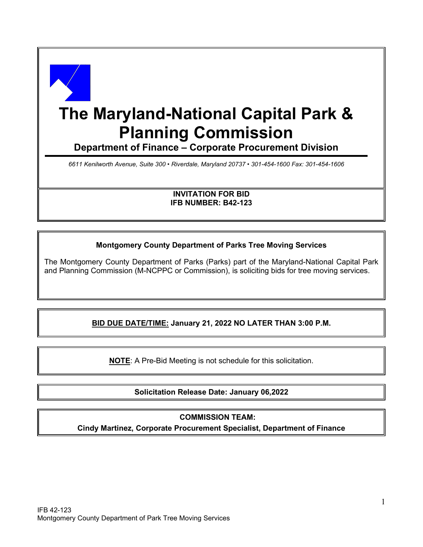

# **The Maryland-National Capital Park & Planning Commission**

**Department of Finance – Corporate Procurement Division**

*6611 Kenilworth Avenue, Suite 300 • Riverdale, Maryland 20737 • 301-454-1600 Fax: 301-454-1606*

**INVITATION FOR BID IFB NUMBER: B42-123**

## **Montgomery County Department of Parks Tree Moving Services**

The Montgomery County Department of Parks (Parks) part of the Maryland-National Capital Park and Planning Commission (M-NCPPC or Commission), is soliciting bids for tree moving services.

# **BID DUE DATE/TIME: January 21, 2022 NO LATER THAN 3:00 P.M.**

**NOTE**: A Pre-Bid Meeting is not schedule for this solicitation.

# **Solicitation Release Date: January 06,2022**

#### **COMMISSION TEAM:**

**Cindy Martinez, Corporate Procurement Specialist, Department of Finance**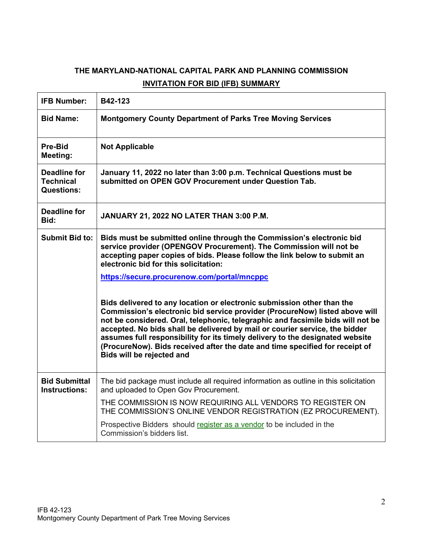# **THE MARYLAND-NATIONAL CAPITAL PARK AND PLANNING COMMISSION INVITATION FOR BID (IFB) SUMMARY**

| <b>IFB Number:</b>                                           | B42-123                                                                                                                                                                                                                                                                                                                                                                                                                                                                                                               |  |  |
|--------------------------------------------------------------|-----------------------------------------------------------------------------------------------------------------------------------------------------------------------------------------------------------------------------------------------------------------------------------------------------------------------------------------------------------------------------------------------------------------------------------------------------------------------------------------------------------------------|--|--|
| <b>Bid Name:</b>                                             | <b>Montgomery County Department of Parks Tree Moving Services</b>                                                                                                                                                                                                                                                                                                                                                                                                                                                     |  |  |
| <b>Pre-Bid</b><br>Meeting:                                   | <b>Not Applicable</b>                                                                                                                                                                                                                                                                                                                                                                                                                                                                                                 |  |  |
| <b>Deadline for</b><br><b>Technical</b><br><b>Questions:</b> | January 11, 2022 no later than 3:00 p.m. Technical Questions must be<br>submitted on OPEN GOV Procurement under Question Tab.                                                                                                                                                                                                                                                                                                                                                                                         |  |  |
| <b>Deadline for</b><br>Bid:                                  | JANUARY 21, 2022 NO LATER THAN 3:00 P.M.                                                                                                                                                                                                                                                                                                                                                                                                                                                                              |  |  |
| Submit Bid to:                                               | Bids must be submitted online through the Commission's electronic bid<br>service provider (OPENGOV Procurement). The Commission will not be<br>accepting paper copies of bids. Please follow the link below to submit an<br>electronic bid for this solicitation:                                                                                                                                                                                                                                                     |  |  |
|                                                              | https://secure.procurenow.com/portal/mncppc                                                                                                                                                                                                                                                                                                                                                                                                                                                                           |  |  |
|                                                              | Bids delivered to any location or electronic submission other than the<br>Commission's electronic bid service provider (ProcureNow) listed above will<br>not be considered. Oral, telephonic, telegraphic and facsimile bids will not be<br>accepted. No bids shall be delivered by mail or courier service, the bidder<br>assumes full responsibility for its timely delivery to the designated website<br>(ProcureNow). Bids received after the date and time specified for receipt of<br>Bids will be rejected and |  |  |
| <b>Bid Submittal</b><br><b>Instructions:</b>                 | The bid package must include all required information as outline in this solicitation<br>and uploaded to Open Gov Procurement.                                                                                                                                                                                                                                                                                                                                                                                        |  |  |
|                                                              | THE COMMISSION IS NOW REQUIRING ALL VENDORS TO REGISTER ON<br>THE COMMISSION'S ONLINE VENDOR REGISTRATION (EZ PROCUREMENT).                                                                                                                                                                                                                                                                                                                                                                                           |  |  |
|                                                              | Prospective Bidders should register as a vendor to be included in the<br>Commission's bidders list.                                                                                                                                                                                                                                                                                                                                                                                                                   |  |  |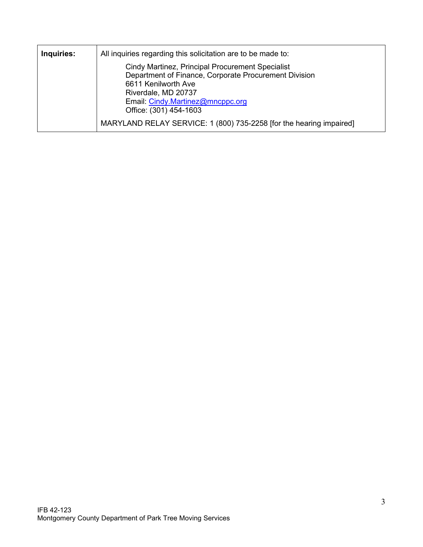| Inquiries: | All inquiries regarding this solicitation are to be made to:                                                                                                                                                          |  |  |  |
|------------|-----------------------------------------------------------------------------------------------------------------------------------------------------------------------------------------------------------------------|--|--|--|
|            | Cindy Martinez, Principal Procurement Specialist<br>Department of Finance, Corporate Procurement Division<br>6611 Kenilworth Ave<br>Riverdale, MD 20737<br>Email: Cindy.Martinez@mncppc.org<br>Office: (301) 454-1603 |  |  |  |
|            | MARYLAND RELAY SERVICE: 1 (800) 735-2258 [for the hearing impaired]                                                                                                                                                   |  |  |  |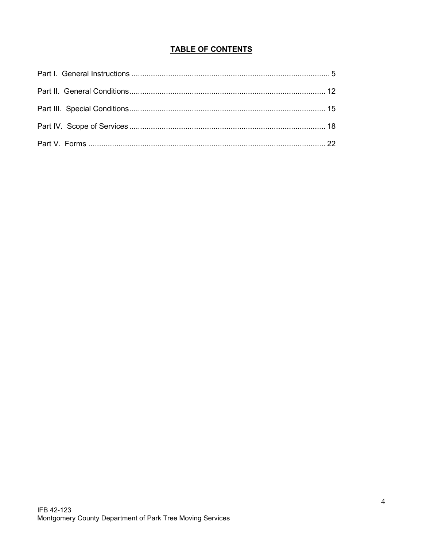# **TABLE OF CONTENTS**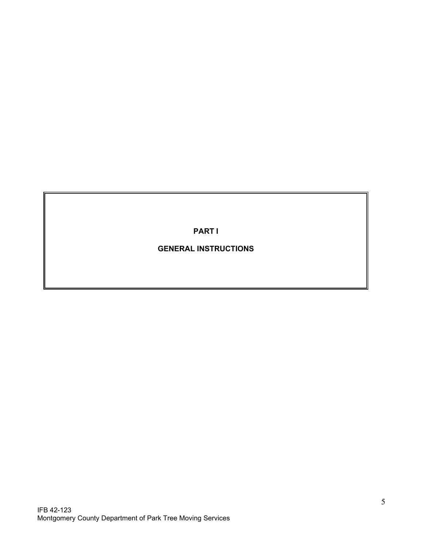**PART I**

# **GENERAL INSTRUCTIONS**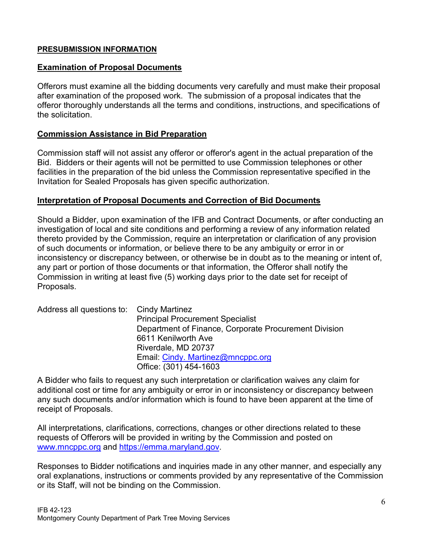## **PRESUBMISSION INFORMATION**

#### **Examination of Proposal Documents**

Offerors must examine all the bidding documents very carefully and must make their proposal after examination of the proposed work. The submission of a proposal indicates that the offeror thoroughly understands all the terms and conditions, instructions, and specifications of the solicitation.

## **Commission Assistance in Bid Preparation**

Commission staff will not assist any offeror or offeror's agent in the actual preparation of the Bid. Bidders or their agents will not be permitted to use Commission telephones or other facilities in the preparation of the bid unless the Commission representative specified in the Invitation for Sealed Proposals has given specific authorization.

#### **Interpretation of Proposal Documents and Correction of Bid Documents**

Should a Bidder, upon examination of the IFB and Contract Documents, or after conducting an investigation of local and site conditions and performing a review of any information related thereto provided by the Commission, require an interpretation or clarification of any provision of such documents or information, or believe there to be any ambiguity or error in or inconsistency or discrepancy between, or otherwise be in doubt as to the meaning or intent of, any part or portion of those documents or that information, the Offeror shall notify the Commission in writing at least five (5) working days prior to the date set for receipt of Proposals.

| Address all questions to: Cindy Martinez |                                                       |
|------------------------------------------|-------------------------------------------------------|
|                                          | <b>Principal Procurement Specialist</b>               |
|                                          | Department of Finance, Corporate Procurement Division |
|                                          | 6611 Kenilworth Ave                                   |
|                                          | Riverdale, MD 20737                                   |
|                                          | Email: Cindy. Martinez@mncppc.org                     |
|                                          | Office: (301) 454-1603                                |

A Bidder who fails to request any such interpretation or clarification waives any claim for additional cost or time for any ambiguity or error in or inconsistency or discrepancy between any such documents and/or information which is found to have been apparent at the time of receipt of Proposals.

All interpretations, clarifications, corrections, changes or other directions related to these requests of Offerors will be provided in writing by the Commission and posted on [www.mncppc.org](http://www.mncppc.org/) and [https://emma.maryland.gov.](https://emma.maryland.gov/)

Responses to Bidder notifications and inquiries made in any other manner, and especially any oral explanations, instructions or comments provided by any representative of the Commission or its Staff, will not be binding on the Commission.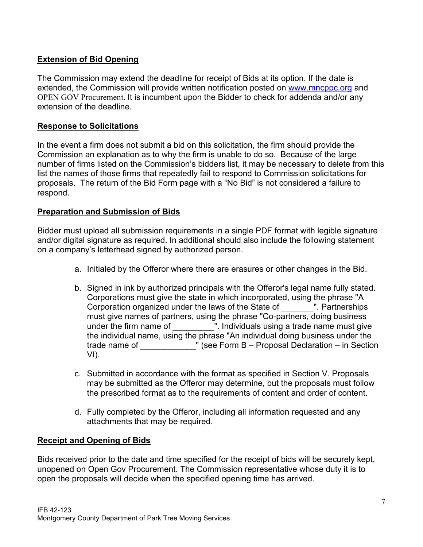# **Extension of Bid Opening**

The Commission may extend the deadline for receipt of Bids at its option. If the date is extended, the Commission will provide written notification posted on [www.mncppc.org](http://www.mncppc.org/) and OPEN GOV Procurement. It is incumbent upon the Bidder to check for addenda and/or any extension of the deadline.

## **Response to Solicitations**

In the event a firm does not submit a bid on this solicitation, the firm should provide the Commission an explanation as to why the firm is unable to do so. Because of the large number of firms listed on the Commission's bidders list, it may be necessary to delete from this list the names of those firms that repeatedly fail to respond to Commission solicitations for proposals. The return of the Bid Form page with a "No Bid" is not considered a failure to respond.

## **Preparation and Submission of Bids**

Bidder must upload all submission requirements in a single PDF format with legible signature and/or digital signature as required. In additional should also include the following statement on a company's letterhead signed by authorized person.

- a. Initialed by the Offeror where there are erasures or other changes in the Bid.
- b. Signed in ink by authorized principals with the Offeror's legal name fully stated. Corporations must give the state in which incorporated, using the phrase "A Corporation organized under the laws of the State of \_\_\_\_\_\_\_". Partnerships must give names of partners, using the phrase "Co-partners, doing business under the firm name of Theoral Muslim Chindividuals using a trade name must give the individual name, using the phrase "An individual doing business under the trade name of  $\blacksquare$  (see Form B – Proposal Declaration – in Section VI).
- c. Submitted in accordance with the format as specified in Section V. Proposals may be submitted as the Offeror may determine, but the proposals must follow the prescribed format as to the requirements of content and order of content.
- d. Fully completed by the Offeror, including all information requested and any attachments that may be required.

# **Receipt and Opening of Bids**

Bids received prior to the date and time specified for the receipt of bids will be securely kept, unopened on Open Gov Procurement. The Commission representative whose duty it is to open the proposals will decide when the specified opening time has arrived.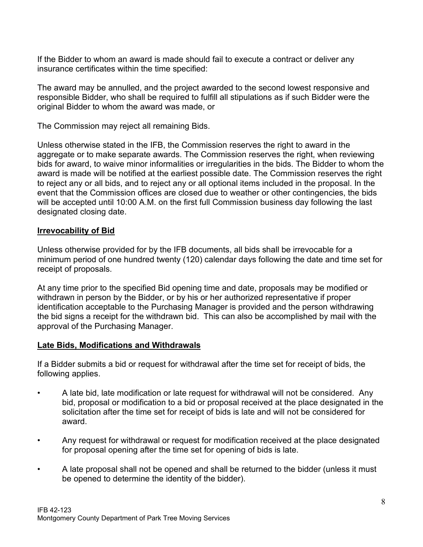If the Bidder to whom an award is made should fail to execute a contract or deliver any insurance certificates within the time specified:

The award may be annulled, and the project awarded to the second lowest responsive and responsible Bidder, who shall be required to fulfill all stipulations as if such Bidder were the original Bidder to whom the award was made, or

The Commission may reject all remaining Bids.

Unless otherwise stated in the IFB, the Commission reserves the right to award in the aggregate or to make separate awards. The Commission reserves the right, when reviewing bids for award, to waive minor informalities or irregularities in the bids. The Bidder to whom the award is made will be notified at the earliest possible date. The Commission reserves the right to reject any or all bids, and to reject any or all optional items included in the proposal. In the event that the Commission offices are closed due to weather or other contingencies, the bids will be accepted until 10:00 A.M. on the first full Commission business day following the last designated closing date.

## **Irrevocability of Bid**

Unless otherwise provided for by the IFB documents, all bids shall be irrevocable for a minimum period of one hundred twenty (120) calendar days following the date and time set for receipt of proposals.

At any time prior to the specified Bid opening time and date, proposals may be modified or withdrawn in person by the Bidder, or by his or her authorized representative if proper identification acceptable to the Purchasing Manager is provided and the person withdrawing the bid signs a receipt for the withdrawn bid. This can also be accomplished by mail with the approval of the Purchasing Manager.

## **Late Bids, Modifications and Withdrawals**

If a Bidder submits a bid or request for withdrawal after the time set for receipt of bids, the following applies.

- A late bid, late modification or late request for withdrawal will not be considered. Any bid, proposal or modification to a bid or proposal received at the place designated in the solicitation after the time set for receipt of bids is late and will not be considered for award.
- Any request for withdrawal or request for modification received at the place designated for proposal opening after the time set for opening of bids is late.
- A late proposal shall not be opened and shall be returned to the bidder (unless it must be opened to determine the identity of the bidder).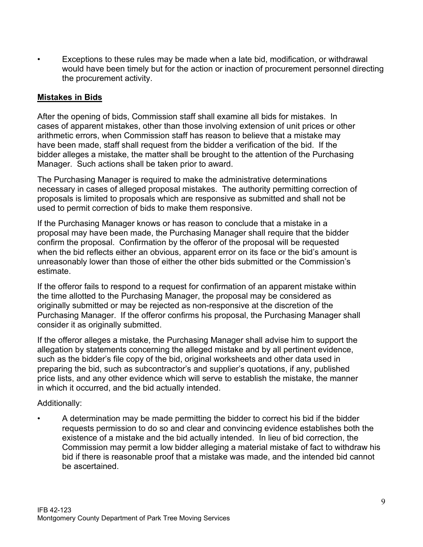• Exceptions to these rules may be made when a late bid, modification, or withdrawal would have been timely but for the action or inaction of procurement personnel directing the procurement activity.

## **Mistakes in Bids**

After the opening of bids, Commission staff shall examine all bids for mistakes. In cases of apparent mistakes, other than those involving extension of unit prices or other arithmetic errors, when Commission staff has reason to believe that a mistake may have been made, staff shall request from the bidder a verification of the bid. If the bidder alleges a mistake, the matter shall be brought to the attention of the Purchasing Manager. Such actions shall be taken prior to award.

The Purchasing Manager is required to make the administrative determinations necessary in cases of alleged proposal mistakes. The authority permitting correction of proposals is limited to proposals which are responsive as submitted and shall not be used to permit correction of bids to make them responsive.

If the Purchasing Manager knows or has reason to conclude that a mistake in a proposal may have been made, the Purchasing Manager shall require that the bidder confirm the proposal. Confirmation by the offeror of the proposal will be requested when the bid reflects either an obvious, apparent error on its face or the bid's amount is unreasonably lower than those of either the other bids submitted or the Commission's estimate.

If the offeror fails to respond to a request for confirmation of an apparent mistake within the time allotted to the Purchasing Manager, the proposal may be considered as originally submitted or may be rejected as non-responsive at the discretion of the Purchasing Manager. If the offeror confirms his proposal, the Purchasing Manager shall consider it as originally submitted.

If the offeror alleges a mistake, the Purchasing Manager shall advise him to support the allegation by statements concerning the alleged mistake and by all pertinent evidence, such as the bidder's file copy of the bid, original worksheets and other data used in preparing the bid, such as subcontractor's and supplier's quotations, if any, published price lists, and any other evidence which will serve to establish the mistake, the manner in which it occurred, and the bid actually intended.

## Additionally:

• A determination may be made permitting the bidder to correct his bid if the bidder requests permission to do so and clear and convincing evidence establishes both the existence of a mistake and the bid actually intended. In lieu of bid correction, the Commission may permit a low bidder alleging a material mistake of fact to withdraw his bid if there is reasonable proof that a mistake was made, and the intended bid cannot be ascertained.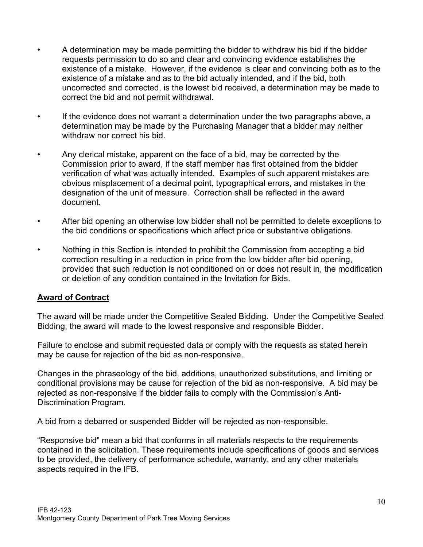- A determination may be made permitting the bidder to withdraw his bid if the bidder requests permission to do so and clear and convincing evidence establishes the existence of a mistake. However, if the evidence is clear and convincing both as to the existence of a mistake and as to the bid actually intended, and if the bid, both uncorrected and corrected, is the lowest bid received, a determination may be made to correct the bid and not permit withdrawal.
- If the evidence does not warrant a determination under the two paragraphs above, a determination may be made by the Purchasing Manager that a bidder may neither withdraw nor correct his bid.
- Any clerical mistake, apparent on the face of a bid, may be corrected by the Commission prior to award, if the staff member has first obtained from the bidder verification of what was actually intended. Examples of such apparent mistakes are obvious misplacement of a decimal point, typographical errors, and mistakes in the designation of the unit of measure. Correction shall be reflected in the award document.
- After bid opening an otherwise low bidder shall not be permitted to delete exceptions to the bid conditions or specifications which affect price or substantive obligations.
- Nothing in this Section is intended to prohibit the Commission from accepting a bid correction resulting in a reduction in price from the low bidder after bid opening, provided that such reduction is not conditioned on or does not result in, the modification or deletion of any condition contained in the Invitation for Bids.

## **Award of Contract**

The award will be made under the Competitive Sealed Bidding. Under the Competitive Sealed Bidding, the award will made to the lowest responsive and responsible Bidder.

Failure to enclose and submit requested data or comply with the requests as stated herein may be cause for rejection of the bid as non-responsive.

Changes in the phraseology of the bid, additions, unauthorized substitutions, and limiting or conditional provisions may be cause for rejection of the bid as non-responsive. A bid may be rejected as non-responsive if the bidder fails to comply with the Commission's Anti-Discrimination Program.

A bid from a debarred or suspended Bidder will be rejected as non-responsible.

"Responsive bid" mean a bid that conforms in all materials respects to the requirements contained in the solicitation. These requirements include specifications of goods and services to be provided, the delivery of performance schedule, warranty, and any other materials aspects required in the IFB.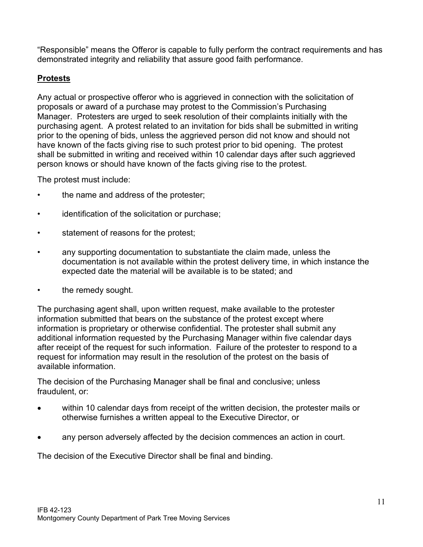"Responsible" means the Offeror is capable to fully perform the contract requirements and has demonstrated integrity and reliability that assure good faith performance.

# **Protests**

Any actual or prospective offeror who is aggrieved in connection with the solicitation of proposals or award of a purchase may protest to the Commission's Purchasing Manager. Protesters are urged to seek resolution of their complaints initially with the purchasing agent. A protest related to an invitation for bids shall be submitted in writing prior to the opening of bids, unless the aggrieved person did not know and should not have known of the facts giving rise to such protest prior to bid opening. The protest shall be submitted in writing and received within 10 calendar days after such aggrieved person knows or should have known of the facts giving rise to the protest.

The protest must include:

- the name and address of the protester;
- identification of the solicitation or purchase;
- statement of reasons for the protest;
- any supporting documentation to substantiate the claim made, unless the documentation is not available within the protest delivery time, in which instance the expected date the material will be available is to be stated; and
- the remedy sought.

The purchasing agent shall, upon written request, make available to the protester information submitted that bears on the substance of the protest except where information is proprietary or otherwise confidential. The protester shall submit any additional information requested by the Purchasing Manager within five calendar days after receipt of the request for such information. Failure of the protester to respond to a request for information may result in the resolution of the protest on the basis of available information.

The decision of the Purchasing Manager shall be final and conclusive; unless fraudulent, or:

- within 10 calendar days from receipt of the written decision, the protester mails or otherwise furnishes a written appeal to the Executive Director, or
- any person adversely affected by the decision commences an action in court.

The decision of the Executive Director shall be final and binding.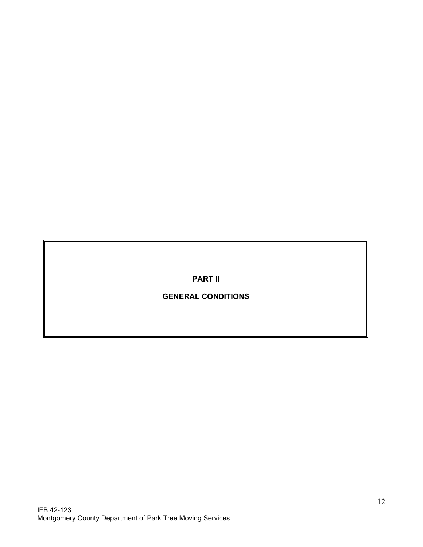**PART II**

**GENERAL CONDITIONS**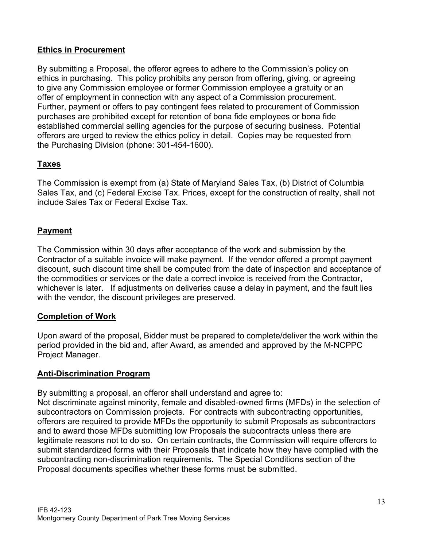# **Ethics in Procurement**

By submitting a Proposal, the offeror agrees to adhere to the Commission's policy on ethics in purchasing. This policy prohibits any person from offering, giving, or agreeing to give any Commission employee or former Commission employee a gratuity or an offer of employment in connection with any aspect of a Commission procurement. Further, payment or offers to pay contingent fees related to procurement of Commission purchases are prohibited except for retention of bona fide employees or bona fide established commercial selling agencies for the purpose of securing business. Potential offerors are urged to review the ethics policy in detail. Copies may be requested from the Purchasing Division (phone: 301-454-1600).

# **Taxes**

The Commission is exempt from (a) State of Maryland Sales Tax, (b) District of Columbia Sales Tax, and (c) Federal Excise Tax. Prices, except for the construction of realty, shall not include Sales Tax or Federal Excise Tax.

# **Payment**

The Commission within 30 days after acceptance of the work and submission by the Contractor of a suitable invoice will make payment. If the vendor offered a prompt payment discount, such discount time shall be computed from the date of inspection and acceptance of the commodities or services or the date a correct invoice is received from the Contractor, whichever is later. If adjustments on deliveries cause a delay in payment, and the fault lies with the vendor, the discount privileges are preserved.

## **Completion of Work**

Upon award of the proposal, Bidder must be prepared to complete/deliver the work within the period provided in the bid and, after Award, as amended and approved by the M-NCPPC Project Manager.

# **Anti-Discrimination Program**

By submitting a proposal, an offeror shall understand and agree to:

Not discriminate against minority, female and disabled-owned firms (MFDs) in the selection of subcontractors on Commission projects. For contracts with subcontracting opportunities, offerors are required to provide MFDs the opportunity to submit Proposals as subcontractors and to award those MFDs submitting low Proposals the subcontracts unless there are legitimate reasons not to do so. On certain contracts, the Commission will require offerors to submit standardized forms with their Proposals that indicate how they have complied with the subcontracting non-discrimination requirements. The Special Conditions section of the Proposal documents specifies whether these forms must be submitted.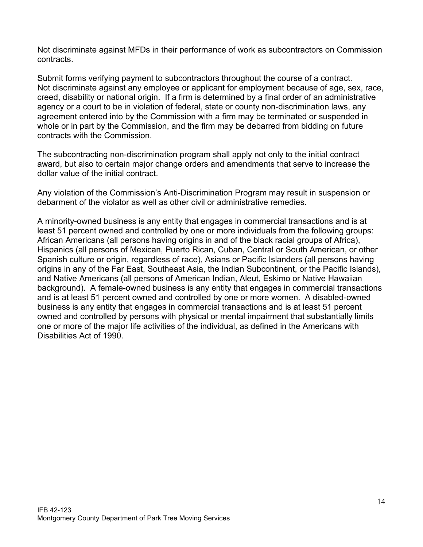Not discriminate against MFDs in their performance of work as subcontractors on Commission contracts.

Submit forms verifying payment to subcontractors throughout the course of a contract. Not discriminate against any employee or applicant for employment because of age, sex, race, creed, disability or national origin. If a firm is determined by a final order of an administrative agency or a court to be in violation of federal, state or county non-discrimination laws, any agreement entered into by the Commission with a firm may be terminated or suspended in whole or in part by the Commission, and the firm may be debarred from bidding on future contracts with the Commission.

The subcontracting non-discrimination program shall apply not only to the initial contract award, but also to certain major change orders and amendments that serve to increase the dollar value of the initial contract.

Any violation of the Commission's Anti-Discrimination Program may result in suspension or debarment of the violator as well as other civil or administrative remedies.

A minority-owned business is any entity that engages in commercial transactions and is at least 51 percent owned and controlled by one or more individuals from the following groups: African Americans (all persons having origins in and of the black racial groups of Africa), Hispanics (all persons of Mexican, Puerto Rican, Cuban, Central or South American, or other Spanish culture or origin, regardless of race), Asians or Pacific Islanders (all persons having origins in any of the Far East, Southeast Asia, the Indian Subcontinent, or the Pacific Islands), and Native Americans (all persons of American Indian, Aleut, Eskimo or Native Hawaiian background). A female-owned business is any entity that engages in commercial transactions and is at least 51 percent owned and controlled by one or more women. A disabled-owned business is any entity that engages in commercial transactions and is at least 51 percent owned and controlled by persons with physical or mental impairment that substantially limits one or more of the major life activities of the individual, as defined in the Americans with Disabilities Act of 1990.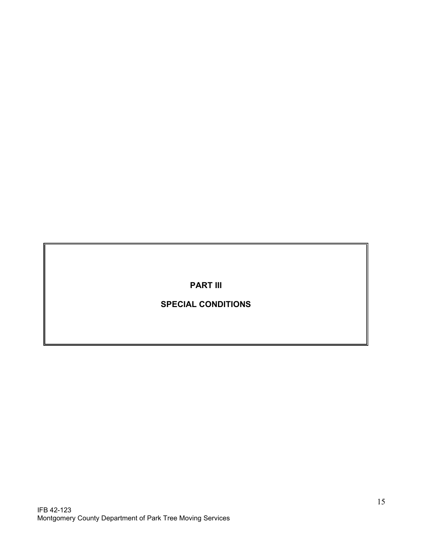**PART III**

# **SPECIAL CONDITIONS**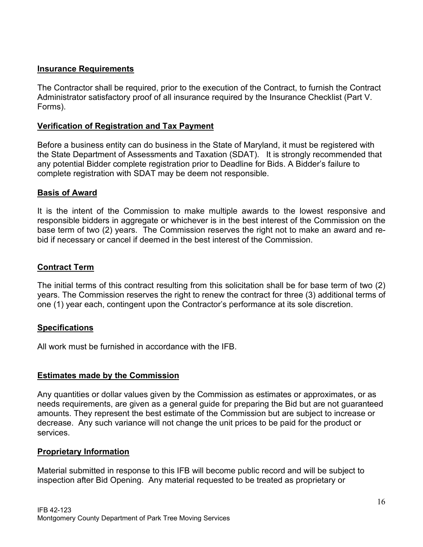## **Insurance Requirements**

The Contractor shall be required, prior to the execution of the Contract, to furnish the Contract Administrator satisfactory proof of all insurance required by the Insurance Checklist (Part V. Forms).

## **Verification of Registration and Tax Payment**

Before a business entity can do business in the State of Maryland, it must be registered with the State Department of Assessments and Taxation (SDAT). It is strongly recommended that any potential Bidder complete registration prior to Deadline for Bids. A Bidder's failure to complete registration with SDAT may be deem not responsible.

## **Basis of Award**

It is the intent of the Commission to make multiple awards to the lowest responsive and responsible bidders in aggregate or whichever is in the best interest of the Commission on the base term of two (2) years. The Commission reserves the right not to make an award and rebid if necessary or cancel if deemed in the best interest of the Commission.

## **Contract Term**

The initial terms of this contract resulting from this solicitation shall be for base term of two (2) years. The Commission reserves the right to renew the contract for three (3) additional terms of one (1) year each, contingent upon the Contractor's performance at its sole discretion.

## **Specifications**

All work must be furnished in accordance with the IFB.

## **Estimates made by the Commission**

Any quantities or dollar values given by the Commission as estimates or approximates, or as needs requirements, are given as a general guide for preparing the Bid but are not guaranteed amounts. They represent the best estimate of the Commission but are subject to increase or decrease. Any such variance will not change the unit prices to be paid for the product or services.

## **Proprietary Information**

Material submitted in response to this IFB will become public record and will be subject to inspection after Bid Opening. Any material requested to be treated as proprietary or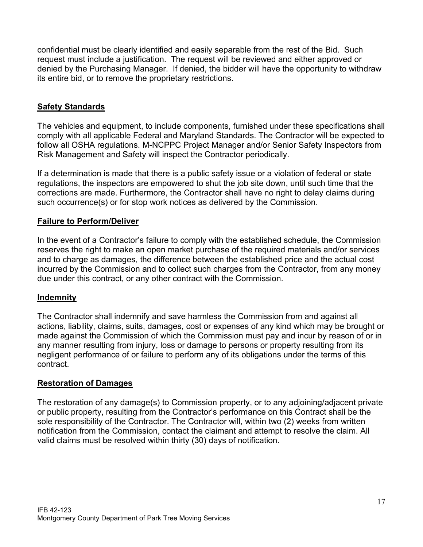confidential must be clearly identified and easily separable from the rest of the Bid. Such request must include a justification. The request will be reviewed and either approved or denied by the Purchasing Manager. If denied, the bidder will have the opportunity to withdraw its entire bid, or to remove the proprietary restrictions.

# **Safety Standards**

The vehicles and equipment, to include components, furnished under these specifications shall comply with all applicable Federal and Maryland Standards. The Contractor will be expected to follow all OSHA regulations. M-NCPPC Project Manager and/or Senior Safety Inspectors from Risk Management and Safety will inspect the Contractor periodically.

If a determination is made that there is a public safety issue or a violation of federal or state regulations, the inspectors are empowered to shut the job site down, until such time that the corrections are made. Furthermore, the Contractor shall have no right to delay claims during such occurrence(s) or for stop work notices as delivered by the Commission.

# **Failure to Perform/Deliver**

In the event of a Contractor's failure to comply with the established schedule, the Commission reserves the right to make an open market purchase of the required materials and/or services and to charge as damages, the difference between the established price and the actual cost incurred by the Commission and to collect such charges from the Contractor, from any money due under this contract, or any other contract with the Commission.

# **Indemnity**

The Contractor shall indemnify and save harmless the Commission from and against all actions, liability, claims, suits, damages, cost or expenses of any kind which may be brought or made against the Commission of which the Commission must pay and incur by reason of or in any manner resulting from injury, loss or damage to persons or property resulting from its negligent performance of or failure to perform any of its obligations under the terms of this contract.

# **Restoration of Damages**

The restoration of any damage(s) to Commission property, or to any adjoining/adjacent private or public property, resulting from the Contractor's performance on this Contract shall be the sole responsibility of the Contractor. The Contractor will, within two (2) weeks from written notification from the Commission, contact the claimant and attempt to resolve the claim. All valid claims must be resolved within thirty (30) days of notification.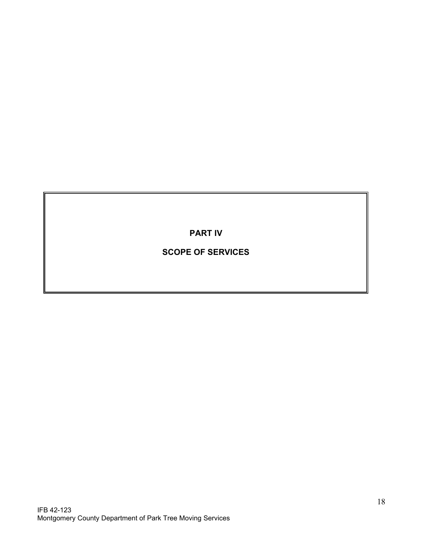**PART IV**

# **SCOPE OF SERVICES**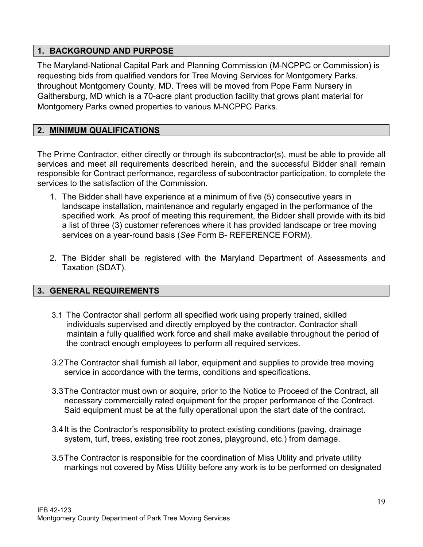# **1. BACKGROUND AND PURPOSE**

The Maryland-National Capital Park and Planning Commission (M-NCPPC or Commission) is requesting bids from qualified vendors for Tree Moving Services for Montgomery Parks. throughout Montgomery County, MD. Trees will be moved from Pope Farm Nursery in Gaithersburg, MD which is a 70-acre plant production facility that grows plant material for Montgomery Parks owned properties to various M-NCPPC Parks.

## **2. MINIMUM QUALIFICATIONS**

The Prime Contractor, either directly or through its subcontractor(s), must be able to provide all services and meet all requirements described herein, and the successful Bidder shall remain responsible for Contract performance, regardless of subcontractor participation, to complete the services to the satisfaction of the Commission.

- 1. The Bidder shall have experience at a minimum of five (5) consecutive years in landscape installation, maintenance and regularly engaged in the performance of the specified work. As proof of meeting this requirement, the Bidder shall provide with its bid a list of three (3) customer references where it has provided landscape or tree moving services on a year-round basis (*See* Form B- REFERENCE FORM).
- 2. The Bidder shall be registered with the Maryland Department of Assessments and Taxation (SDAT).

## **3. GENERAL REQUIREMENTS**

- 3.1 The Contractor shall perform all specified work using properly trained, skilled individuals supervised and directly employed by the contractor. Contractor shall maintain a fully qualified work force and shall make available throughout the period of the contract enough employees to perform all required services.
- 3.2The Contractor shall furnish all labor, equipment and supplies to provide tree moving service in accordance with the terms, conditions and specifications.
- 3.3The Contractor must own or acquire, prior to the Notice to Proceed of the Contract, all necessary commercially rated equipment for the proper performance of the Contract. Said equipment must be at the fully operational upon the start date of the contract.
- 3.4It is the Contractor's responsibility to protect existing conditions (paving, drainage system, turf, trees, existing tree root zones, playground, etc.) from damage.
- 3.5The Contractor is responsible for the coordination of Miss Utility and private utility markings not covered by Miss Utility before any work is to be performed on designated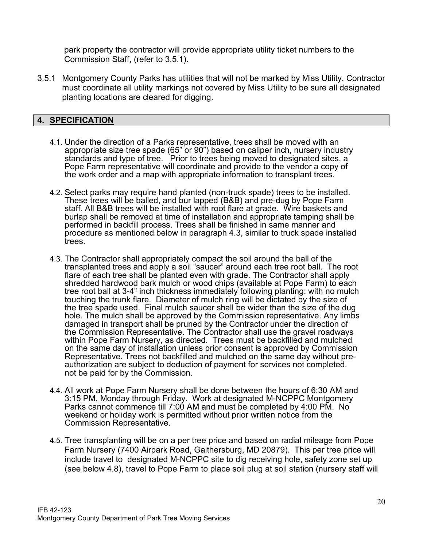park property the contractor will provide appropriate utility ticket numbers to the Commission Staff, (refer to 3.5.1).

3.5.1 Montgomery County Parks has utilities that will not be marked by Miss Utility. Contractor must coordinate all utility markings not covered by Miss Utility to be sure all designated planting locations are cleared for digging.

## **4. SPECIFICATION**

- 4.1. Under the direction of a Parks representative, trees shall be moved with an appropriate size tree spade (65" or 90") based on caliper inch, nursery industry standards and type of tree. Prior to trees being moved to designated sites, a Pope Farm representative will coordinate and provide to the vendor a copy of the work order and a map with appropriate information to transplant trees.
- 4.2. Select parks may require hand planted (non-truck spade) trees to be installed. These trees will be balled, and bur lapped (B&B) and pre-dug by Pope Farm staff. All B&B trees will be installed with root flare at grade. Wire baskets and burlap shall be removed at time of installation and appropriate tamping shall be performed in backfill process. Trees shall be finished in same manner and procedure as mentioned below in paragraph 4.3, similar to truck spade installed trees.
- 4.3. The Contractor shall appropriately compact the soil around the ball of the transplanted trees and apply a soil "saucer" around each tree root ball. The root flare of each tree shall be planted even with grade. The Contractor shall apply shredded hardwood bark mulch or wood chips (available at Pope Farm) to each tree root ball at 3-4" inch thickness immediately following planting; with no mulch touching the trunk flare. Diameter of mulch ring will be dictated by the size of the tree spade used. Final mulch saucer shall be wider than the size of the dug hole. The mulch shall be approved by the Commission representative. Any limbs damaged in transport shall be pruned by the Contractor under the direction of the Commission Representative. The Contractor shall use the gravel roadways within Pope Farm Nursery, as directed. Trees must be backfilled and mulched on the same day of installation unless prior consent is approved by Commission<br>Representative. Trees not backfilled and mulched on the same day without preauthorization are subject to deduction of payment for services not completed. not be paid for by the Commission.
- 4.4. All work at Pope Farm Nursery shall be done between the hours of 6:30 AM and 3:15 PM, Monday through Friday. Work at designated M-NCPPC Montgomery Parks cannot commence till 7:00 AM and must be completed by 4:00 PM. No weekend or holiday work is permitted without prior written notice from the Commission Representative.
- 4.5. Tree transplanting will be on a per tree price and based on radial mileage from Pope Farm Nursery (7400 Airpark Road, Gaithersburg, MD 20879). This per tree price will include travel to designated M-NCPPC site to dig receiving hole, safety zone set up (see below 4.8), travel to Pope Farm to place soil plug at soil station (nursery staff will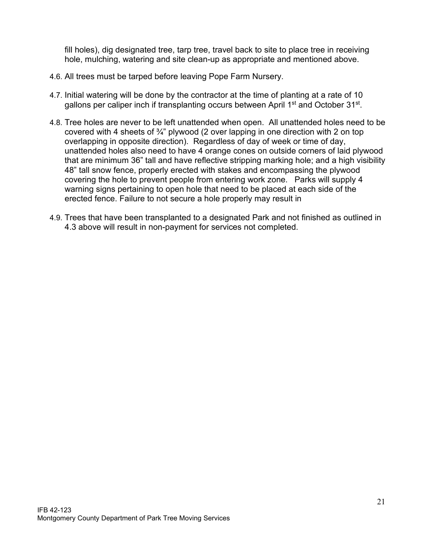fill holes), dig designated tree, tarp tree, travel back to site to place tree in receiving hole, mulching, watering and site clean-up as appropriate and mentioned above.

- 4.6. All trees must be tarped before leaving Pope Farm Nursery.
- 4.7. Initial watering will be done by the contractor at the time of planting at a rate of 10 gallons per caliper inch if transplanting occurs between April 1<sup>st</sup> and October 31<sup>st</sup>.
- 4.8. Tree holes are never to be left unattended when open. All unattended holes need to be covered with 4 sheets of  $\frac{3}{4}$ " plywood (2 over lapping in one direction with 2 on top overlapping in opposite direction). Regardless of day of week or time of day, unattended holes also need to have 4 orange cones on outside corners of laid plywood that are minimum 36" tall and have reflective stripping marking hole; and a high visibility 48" tall snow fence, properly erected with stakes and encompassing the plywood covering the hole to prevent people from entering work zone. Parks will supply 4 warning signs pertaining to open hole that need to be placed at each side of the erected fence. Failure to not secure a hole properly may result in
- 4.9. Trees that have been transplanted to a designated Park and not finished as outlined in 4.3 above will result in non-payment for services not completed.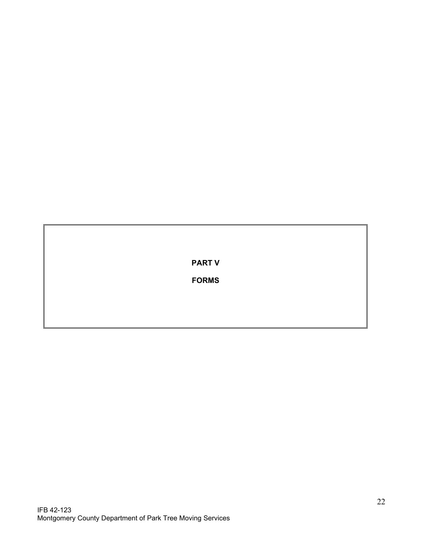**PART V**

**FORMS**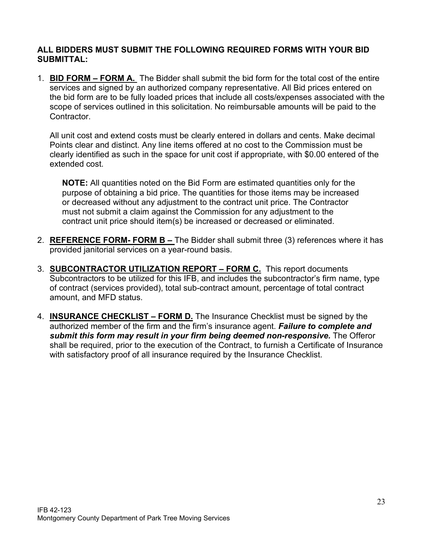## **ALL BIDDERS MUST SUBMIT THE FOLLOWING REQUIRED FORMS WITH YOUR BID SUBMITTAL:**

1. **BID FORM – FORM A.** The Bidder shall submit the bid form for the total cost of the entire services and signed by an authorized company representative. All Bid prices entered on the bid form are to be fully loaded prices that include all costs/expenses associated with the scope of services outlined in this solicitation. No reimbursable amounts will be paid to the Contractor.

All unit cost and extend costs must be clearly entered in dollars and cents. Make decimal Points clear and distinct. Any line items offered at no cost to the Commission must be clearly identified as such in the space for unit cost if appropriate, with \$0.00 entered of the extended cost.

**NOTE:** All quantities noted on the Bid Form are estimated quantities only for the purpose of obtaining a bid price. The quantities for those items may be increased or decreased without any adjustment to the contract unit price. The Contractor must not submit a claim against the Commission for any adjustment to the contract unit price should item(s) be increased or decreased or eliminated.

- 2. **REFERENCE FORM- FORM B –** The Bidder shall submit three (3) references where it has provided janitorial services on a year-round basis.
- 3. **SUBCONTRACTOR UTILIZATION REPORT – FORM C.** This report documents Subcontractors to be utilized for this IFB, and includes the subcontractor's firm name, type of contract (services provided), total sub-contract amount, percentage of total contract amount, and MFD status.
- 4. **INSURANCE CHECKLIST – FORM D.** The Insurance Checklist must be signed by the authorized member of the firm and the firm's insurance agent. *Failure to complete and*  submit this form may result in your firm being deemed non-responsive. The Offeror shall be required, prior to the execution of the Contract, to furnish a Certificate of Insurance with satisfactory proof of all insurance required by the Insurance Checklist.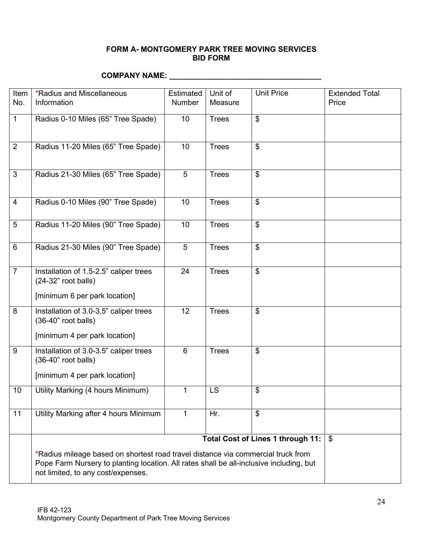#### **FORM A- MONTGOMERY PARK TREE MOVING SERVICES BID FORM**

# **COMPANY NAME: \_\_\_\_\_\_\_\_\_\_\_\_\_\_\_\_\_\_\_\_\_\_\_\_\_\_\_\_\_\_\_\_\_\_\_\_**

| Item            | <b>*Radius and Miscellaneous</b>                                                                                                                                                                                  | Estimated      | Unit of      | <b>Unit Price</b>                 | <b>Extended Total</b>     |
|-----------------|-------------------------------------------------------------------------------------------------------------------------------------------------------------------------------------------------------------------|----------------|--------------|-----------------------------------|---------------------------|
| No.             | Information                                                                                                                                                                                                       | <b>Number</b>  | Measure      |                                   | Price                     |
| $\mathbf{1}$    | Radius 0-10 Miles (65" Tree Spade)                                                                                                                                                                                | 10             | <b>Trees</b> | $\boldsymbol{\mathsf{S}}$         |                           |
| 2               | Radius 11-20 Miles (65" Tree Spade)                                                                                                                                                                               | 10             | <b>Trees</b> | \$                                |                           |
| 3               | Radius 21-30 Miles (65" Tree Spade)                                                                                                                                                                               | 5              | <b>Trees</b> | $\$\$                             |                           |
| $\overline{4}$  | Radius 0-10 Miles (90" Tree Spade)                                                                                                                                                                                | 10             | <b>Trees</b> | \$                                |                           |
| 5               | Radius 11-20 Miles (90" Tree Spade)                                                                                                                                                                               | 10             | <b>Trees</b> | $\boldsymbol{\mathsf{S}}$         |                           |
| $6\phantom{1}6$ | Radius 21-30 Miles (90" Tree Spade)                                                                                                                                                                               | $\overline{5}$ | <b>Trees</b> | $\overline{\mathcal{S}}$          |                           |
| $\overline{7}$  | Installation of 1.5-2.5" caliper trees<br>(24-32" root balls)                                                                                                                                                     | 24             | <b>Trees</b> | $\boldsymbol{\mathsf{\$}}$        |                           |
|                 | [minimum 6 per park location]                                                                                                                                                                                     |                |              |                                   |                           |
| 8               | Installation of 3.0-3.5" caliper trees<br>(36-40" root balls)                                                                                                                                                     | 12             | <b>Trees</b> | \$                                |                           |
|                 | [minimum 4 per park location]                                                                                                                                                                                     |                |              |                                   |                           |
| 9               | Installation of 3.0-3.5" caliper trees<br>(36-40" root balls)                                                                                                                                                     | 6              | <b>Trees</b> | \$                                |                           |
|                 | [minimum 4 per park location]                                                                                                                                                                                     |                |              |                                   |                           |
| 10              | Utility Marking (4 hours Minimum)                                                                                                                                                                                 | $\mathbf{1}$   | <b>LS</b>    | $\boldsymbol{\mathsf{S}}$         |                           |
| 11              | Utility Marking after 4 hours Minimum                                                                                                                                                                             | 1              | Hr.          | \$                                |                           |
|                 |                                                                                                                                                                                                                   |                |              | Total Cost of Lines 1 through 11: | $\boldsymbol{\mathsf{s}}$ |
|                 | *Radius mileage based on shortest road travel distance via commercial truck from<br>Pope Farm Nursery to planting location. All rates shall be all-inclusive including, but<br>not limited, to any cost/expenses. |                |              |                                   |                           |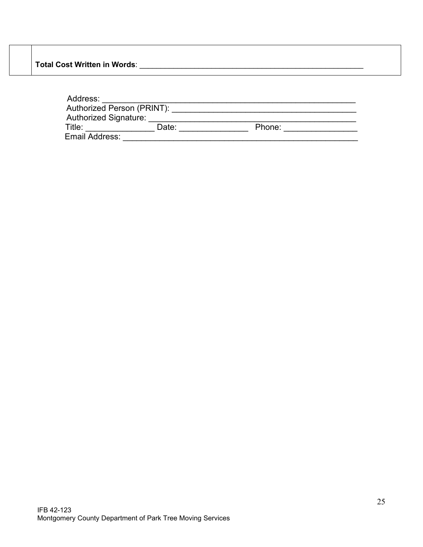**Total Cost Written in Words**: \_\_\_\_\_\_\_\_\_\_\_\_\_\_\_\_\_\_\_\_\_\_\_\_\_\_\_\_\_\_\_\_\_\_\_\_\_\_\_\_\_\_\_\_\_\_\_\_\_\_\_\_\_

| Address:                     |       |        |
|------------------------------|-------|--------|
| Authorized Person (PRINT):   |       |        |
| <b>Authorized Signature:</b> |       |        |
| Title:                       | Date: | Phone: |
| Email Address:               |       |        |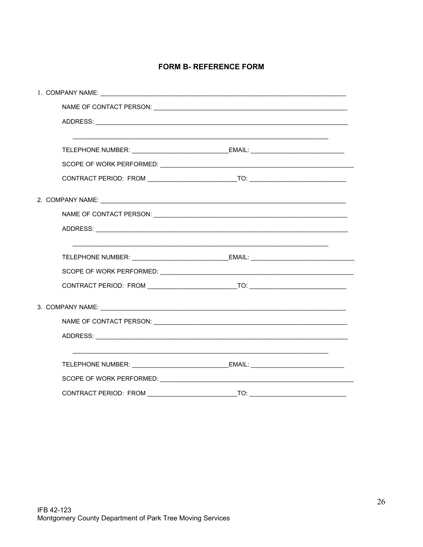#### **FORM B- REFERENCE FORM**

| 2. COMPANY NAME: University of the set of the set of the set of the set of the set of the set of the set of the set of the set of the set of the set of the set of the set of the set of the set of the set of the set of the |  |  |  |
|-------------------------------------------------------------------------------------------------------------------------------------------------------------------------------------------------------------------------------|--|--|--|
|                                                                                                                                                                                                                               |  |  |  |
|                                                                                                                                                                                                                               |  |  |  |
|                                                                                                                                                                                                                               |  |  |  |
|                                                                                                                                                                                                                               |  |  |  |
|                                                                                                                                                                                                                               |  |  |  |
|                                                                                                                                                                                                                               |  |  |  |
|                                                                                                                                                                                                                               |  |  |  |
|                                                                                                                                                                                                                               |  |  |  |
|                                                                                                                                                                                                                               |  |  |  |
| TELEPHONE NUMBER: ___________________________________EMAIL: ____________________                                                                                                                                              |  |  |  |
|                                                                                                                                                                                                                               |  |  |  |
|                                                                                                                                                                                                                               |  |  |  |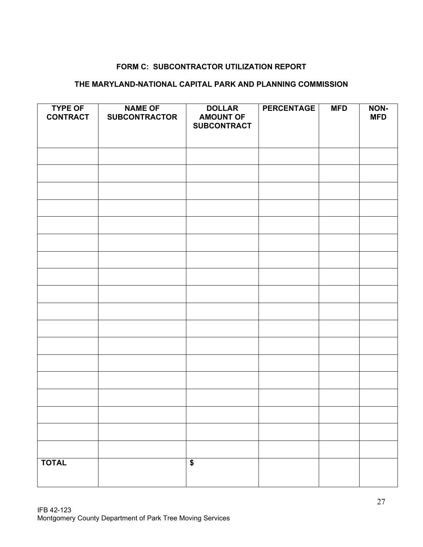#### **FORM C: SUBCONTRACTOR UTILIZATION REPORT**

## **THE MARYLAND-NATIONAL CAPITAL PARK AND PLANNING COMMISSION**

| <b>TYPE OF</b><br><b>CONTRACT</b> | <b>NAME OF</b><br><b>SUBCONTRACTOR</b> | <b>DOLLAR</b><br><b>AMOUNT OF</b><br><b>SUBCONTRACT</b> | <b>PERCENTAGE</b> | <b>MFD</b> | NON-<br><b>MFD</b> |
|-----------------------------------|----------------------------------------|---------------------------------------------------------|-------------------|------------|--------------------|
|                                   |                                        |                                                         |                   |            |                    |
|                                   |                                        |                                                         |                   |            |                    |
|                                   |                                        |                                                         |                   |            |                    |
|                                   |                                        |                                                         |                   |            |                    |
|                                   |                                        |                                                         |                   |            |                    |
|                                   |                                        |                                                         |                   |            |                    |
|                                   |                                        |                                                         |                   |            |                    |
|                                   |                                        |                                                         |                   |            |                    |
|                                   |                                        |                                                         |                   |            |                    |
|                                   |                                        |                                                         |                   |            |                    |
|                                   |                                        |                                                         |                   |            |                    |
|                                   |                                        |                                                         |                   |            |                    |
|                                   |                                        |                                                         |                   |            |                    |
|                                   |                                        |                                                         |                   |            |                    |
|                                   |                                        |                                                         |                   |            |                    |
|                                   |                                        |                                                         |                   |            |                    |
|                                   |                                        |                                                         |                   |            |                    |
|                                   |                                        |                                                         |                   |            |                    |
|                                   |                                        |                                                         |                   |            |                    |
| <b>TOTAL</b>                      |                                        | $\blacklozenge$                                         |                   |            |                    |